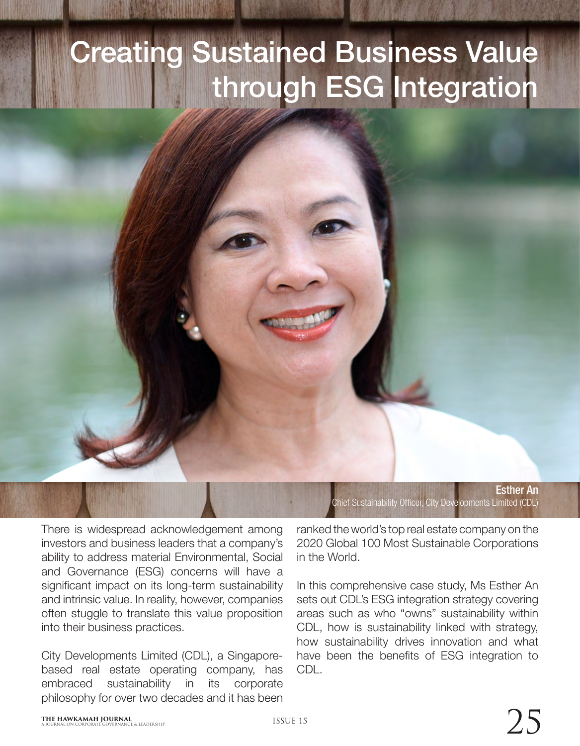## Creating Sustained Business Value through ESG Integration

Esther An Chief Sustainability Officer, City Developments Limited (CDL)

There is widespread acknowledgement among investors and business leaders that a company's ability to address material Environmental, Social and Governance (ESG) concerns will have a significant impact on its long-term sustainability and intrinsic value. In reality, however, companies often stuggle to translate this value proposition into their business practices.

City Developments Limited (CDL), a Singaporebased real estate operating company, has embraced sustainability in its corporate philosophy for over two decades and it has been

ranked the world's top real estate company on the 2020 Global 100 Most Sustainable Corporations in the World.

In this comprehensive case study, Ms Esther An sets out CDL's ESG integration strategy covering areas such as who "owns" sustainability within CDL, how is sustainability linked with strategy, how sustainability drives innovation and what have been the benefits of ESG integration to CDL.

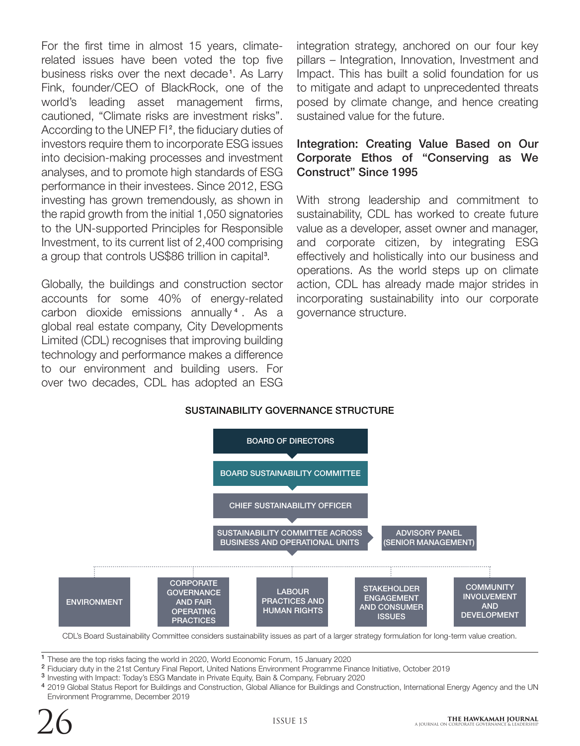For the first time in almost 15 years, climaterelated issues have been voted the top five business risks over the next decade<sup>1</sup>. As Larry Fink, founder/CEO of BlackRock, one of the world's leading asset management firms, cautioned, "Climate risks are investment risks". According to the UNEP  $FI^2$ , the fiduciary duties of investors require them to incorporate ESG issues into decision-making processes and investment analyses, and to promote high standards of ESG performance in their investees. Since 2012, ESG investing has grown tremendously, as shown in the rapid growth from the initial 1,050 signatories to the UN-supported Principles for Responsible Investment, to its current list of 2,400 comprising a group that controls US\$86 trillion in capital<sup>3</sup>.

Globally, the buildings and construction sector accounts for some 40% of energy-related carbon dioxide emissions annually<sup>4</sup>. As a global real estate company, City Developments Limited (CDL) recognises that improving building technology and performance makes a difference to our environment and building users. For over two decades, CDL has adopted an ESG

integration strategy, anchored on our four key pillars – Integration, Innovation, Investment and Impact. This has built a solid foundation for us to mitigate and adapt to unprecedented threats posed by climate change, and hence creating sustained value for the future.

## Integration: Creating Value Based on Our Corporate Ethos of "Conserving as We Construct" Since 1995

With strong leadership and commitment to sustainability, CDL has worked to create future value as a developer, asset owner and manager, and corporate citizen, by integrating ESG effectively and holistically into our business and operations. As the world steps up on climate action, CDL has already made major strides in incorporating sustainability into our corporate governance structure.



<sup>1</sup> These are the top risks facing the world in 2020, World Economic Forum, 15 January 2020

- <sup>2</sup> Fiduciary duty in the 21st Century Final Report, United Nations Environment Programme Finance Initiative, October 2019
- <sup>3</sup> Investing with Impact: Today's ESG Mandate in Private Equity, Bain & Company, February 2020
- 4 2019 Global Status Report for Buildings and Construction, Global Alliance for Buildings and Construction, International Energy Agency and the UN Environment Programme, December 2019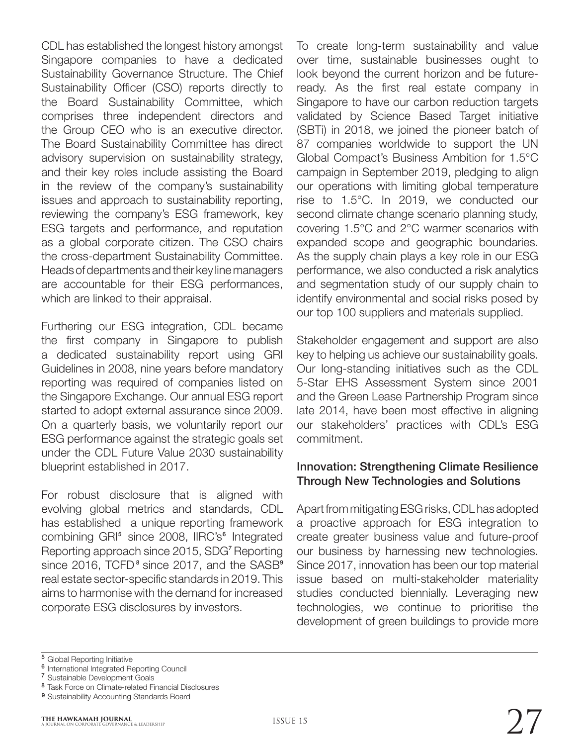CDL has established the longest history amongst Singapore companies to have a dedicated Sustainability Governance Structure. The Chief Sustainability Officer (CSO) reports directly to the Board Sustainability Committee, which comprises three independent directors and the Group CEO who is an executive director. The Board Sustainability Committee has direct advisory supervision on sustainability strategy, and their key roles include assisting the Board in the review of the company's sustainability issues and approach to sustainability reporting, reviewing the company's ESG framework, key ESG targets and performance, and reputation as a global corporate citizen. The CSO chairs the cross-department Sustainability Committee. Heads of departments and their key line managers are accountable for their ESG performances, which are linked to their appraisal.

Furthering our ESG integration, CDL became the first company in Singapore to publish a dedicated sustainability report using GRI Guidelines in 2008, nine years before mandatory reporting was required of companies listed on the Singapore Exchange. Our annual ESG report started to adopt external assurance since 2009. On a quarterly basis, we voluntarily report our ESG performance against the strategic goals set under the CDL Future Value 2030 sustainability blueprint established in 2017.

For robust disclosure that is aligned with evolving global metrics and standards, CDL has established a unique reporting framework combining GRI<sup>5</sup> since 2008, IIRC's<sup>6</sup> Integrated Reporting approach since 2015, SDG<sup>7</sup> Reporting since 2016, TCFD $^{\circ}$  since 2017, and the SASB $^{\circ}$ real estate sector-specific standards in 2019. This aims to harmonise with the demand for increased corporate ESG disclosures by investors.

To create long-term sustainability and value over time, sustainable businesses ought to look beyond the current horizon and be futureready. As the first real estate company in Singapore to have our carbon reduction targets validated by Science Based Target initiative (SBTi) in 2018, we joined the pioneer batch of 87 companies worldwide to support the UN Global Compact's Business Ambition for 1.5°C campaign in September 2019, pledging to align our operations with limiting global temperature rise to 1.5°C. In 2019, we conducted our second climate change scenario planning study, covering 1.5°C and 2°C warmer scenarios with expanded scope and geographic boundaries. As the supply chain plays a key role in our ESG performance, we also conducted a risk analytics and segmentation study of our supply chain to identify environmental and social risks posed by our top 100 suppliers and materials supplied.

Stakeholder engagement and support are also key to helping us achieve our sustainability goals. Our long-standing initiatives such as the CDL 5-Star EHS Assessment System since 2001 and the Green Lease Partnership Program since late 2014, have been most effective in aligning our stakeholders' practices with CDL's ESG commitment.

## Innovation: Strengthening Climate Resilience Through New Technologies and Solutions

Apart from mitigating ESG risks, CDL has adopted a proactive approach for ESG integration to create greater business value and future-proof our business by harnessing new technologies. Since 2017, innovation has been our top material issue based on multi-stakeholder materiality studies conducted biennially. Leveraging new technologies, we continue to prioritise the development of green buildings to provide more

<sup>&</sup>lt;sup>5</sup> Global Reporting Initiative

<sup>&</sup>lt;sup>6</sup> International Integrated Reporting Council

<sup>&</sup>lt;sup>7</sup> Sustainable Development Goals

<sup>8</sup> Task Force on Climate-related Financial Disclosures

<sup>&</sup>lt;sup>9</sup> Sustainability Accounting Standards Board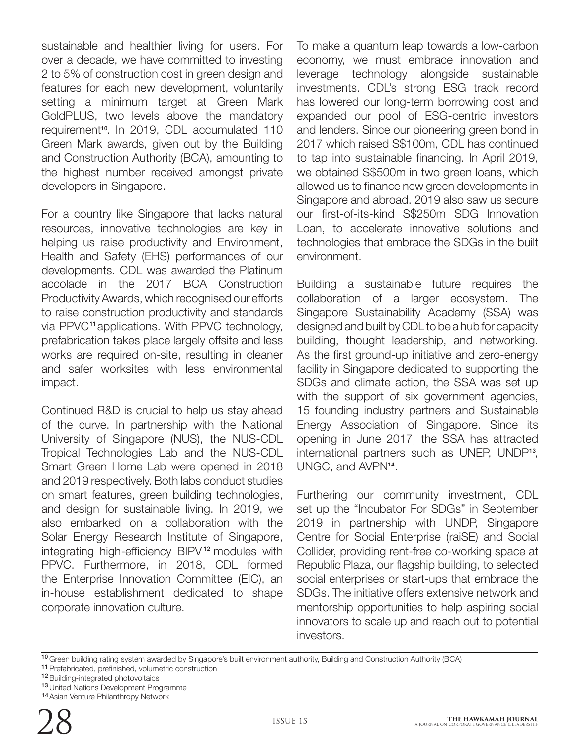sustainable and healthier living for users. For over a decade, we have committed to investing 2 to 5% of construction cost in green design and features for each new development, voluntarily setting a minimum target at Green Mark GoldPLUS, two levels above the mandatory requirement<sup>10</sup>. In 2019, CDL accumulated 110 Green Mark awards, given out by the Building and Construction Authority (BCA), amounting to the highest number received amongst private developers in Singapore.

For a country like Singapore that lacks natural resources, innovative technologies are key in helping us raise productivity and Environment, Health and Safety (EHS) performances of our developments. CDL was awarded the Platinum accolade in the 2017 BCA Construction Productivity Awards, which recognised our efforts to raise construction productivity and standards via PPVC<sup>11</sup> applications. With PPVC technology, prefabrication takes place largely offsite and less works are required on-site, resulting in cleaner and safer worksites with less environmental impact.

Continued R&D is crucial to help us stay ahead of the curve. In partnership with the National University of Singapore (NUS), the NUS-CDL Tropical Technologies Lab and the NUS-CDL Smart Green Home Lab were opened in 2018 and 2019 respectively. Both labs conduct studies on smart features, green building technologies, and design for sustainable living. In 2019, we also embarked on a collaboration with the Solar Energy Research Institute of Singapore, integrating high-efficiency BIPV<sup>12</sup> modules with PPVC. Furthermore, in 2018, CDL formed the Enterprise Innovation Committee (EIC), an in-house establishment dedicated to shape corporate innovation culture.

To make a quantum leap towards a low-carbon economy, we must embrace innovation and leverage technology alongside sustainable investments. CDL's strong ESG track record has lowered our long-term borrowing cost and expanded our pool of ESG-centric investors and lenders. Since our pioneering green bond in 2017 which raised S\$100m, CDL has continued to tap into sustainable financing. In April 2019, we obtained S\$500m in two green loans, which allowed us to finance new green developments in Singapore and abroad. 2019 also saw us secure our first-of-its-kind S\$250m SDG Innovation Loan, to accelerate innovative solutions and technologies that embrace the SDGs in the built environment.

Building a sustainable future requires the collaboration of a larger ecosystem. The Singapore Sustainability Academy (SSA) was designed and built by CDL to be a hub for capacity building, thought leadership, and networking. As the first ground-up initiative and zero-energy facility in Singapore dedicated to supporting the SDGs and climate action, the SSA was set up with the support of six government agencies, 15 founding industry partners and Sustainable Energy Association of Singapore. Since its opening in June 2017, the SSA has attracted international partners such as UNEP, UNDP<sup>13</sup>, UNGC, and AVPN<sup>14</sup>.

Furthering our community investment, CDL set up the "Incubator For SDGs" in September 2019 in partnership with UNDP, Singapore Centre for Social Enterprise (raiSE) and Social Collider, providing rent-free co-working space at Republic Plaza, our flagship building, to selected social enterprises or start-ups that embrace the SDGs. The initiative offers extensive network and mentorship opportunities to help aspiring social innovators to scale up and reach out to potential investors.

<sup>10</sup> Green building rating system awarded by Singapore's built environment authority, Building and Construction Authority (BCA) 11 Prefabricated, prefinished, volumetric construction

12 Building-integrated photovoltaics

13 United Nations Development Programme

14 Asian Venture Philanthropy Network